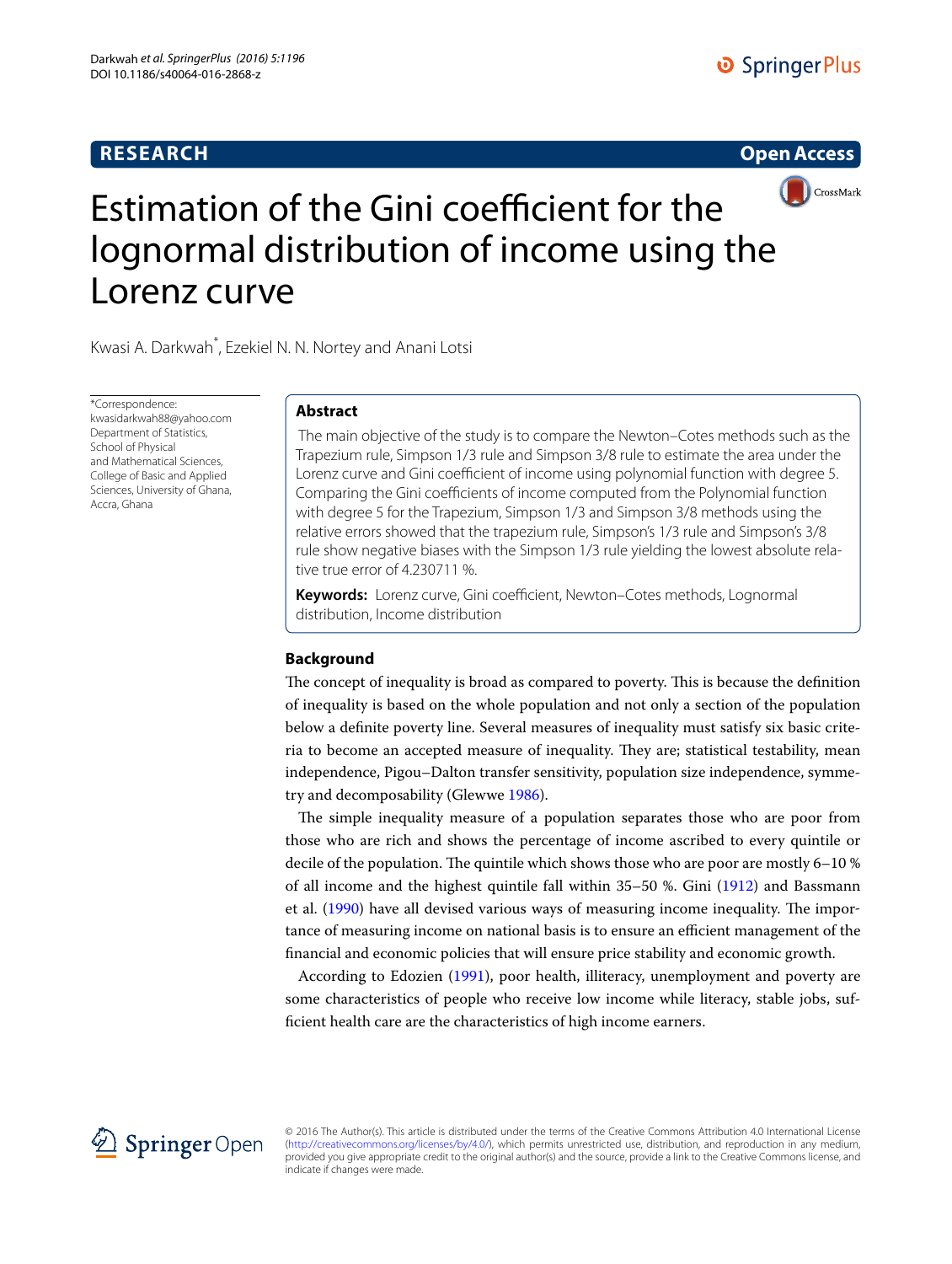# **RESEARCH**

# **Open Access**



# Estimation of the Gini coefficient for the lognormal distribution of income using the Lorenz curve

Kwasi A. Darkwah\* , Ezekiel N. N. Nortey and Anani Lotsi

\*Correspondence: kwasidarkwah88@yahoo.com Department of Statistics, School of Physical and Mathematical Sciences, College of Basic and Applied Sciences, University of Ghana, Accra, Ghana

# **Abstract**

 The main objective of the study is to compare the Newton–Cotes methods such as the Trapezium rule, Simpson 1/3 rule and Simpson 3/8 rule to estimate the area under the Lorenz curve and Gini coefficient of income using polynomial function with degree 5. Comparing the Gini coefficients of income computed from the Polynomial function with degree 5 for the Trapezium, Simpson 1/3 and Simpson 3/8 methods using the relative errors showed that the trapezium rule, Simpson's 1/3 rule and Simpson's 3/8 rule show negative biases with the Simpson 1/3 rule yielding the lowest absolute relative true error of 4.230711 %.

**Keywords:** Lorenz curve, Gini coefficient, Newton–Cotes methods, Lognormal distribution, Income distribution

# **Background**

The concept of inequality is broad as compared to poverty. This is because the definition of inequality is based on the whole population and not only a section of the population below a definite poverty line. Several measures of inequality must satisfy six basic criteria to become an accepted measure of inequality. They are; statistical testability, mean independence, Pigou–Dalton transfer sensitivity, population size independence, symmetry and decomposability (Glewwe [1986\)](#page-8-0).

The simple inequality measure of a population separates those who are poor from those who are rich and shows the percentage of income ascribed to every quintile or decile of the population. The quintile which shows those who are poor are mostly 6–10 % of all income and the highest quintile fall within 35–50 %. Gini ([1912\)](#page-8-1) and Bassmann et al. [\(1990\)](#page-8-2) have all devised various ways of measuring income inequality. The importance of measuring income on national basis is to ensure an efficient management of the financial and economic policies that will ensure price stability and economic growth.

According to Edozien ([1991](#page-8-3)), poor health, illiteracy, unemployment and poverty are some characteristics of people who receive low income while literacy, stable jobs, sufficient health care are the characteristics of high income earners.



© 2016 The Author(s). This article is distributed under the terms of the Creative Commons Attribution 4.0 International License [\(http://creativecommons.org/licenses/by/4.0/](http://creativecommons.org/licenses/by/4.0/)), which permits unrestricted use, distribution, and reproduction in any medium, provided you give appropriate credit to the original author(s) and the source, provide a link to the Creative Commons license, and indicate if changes were made.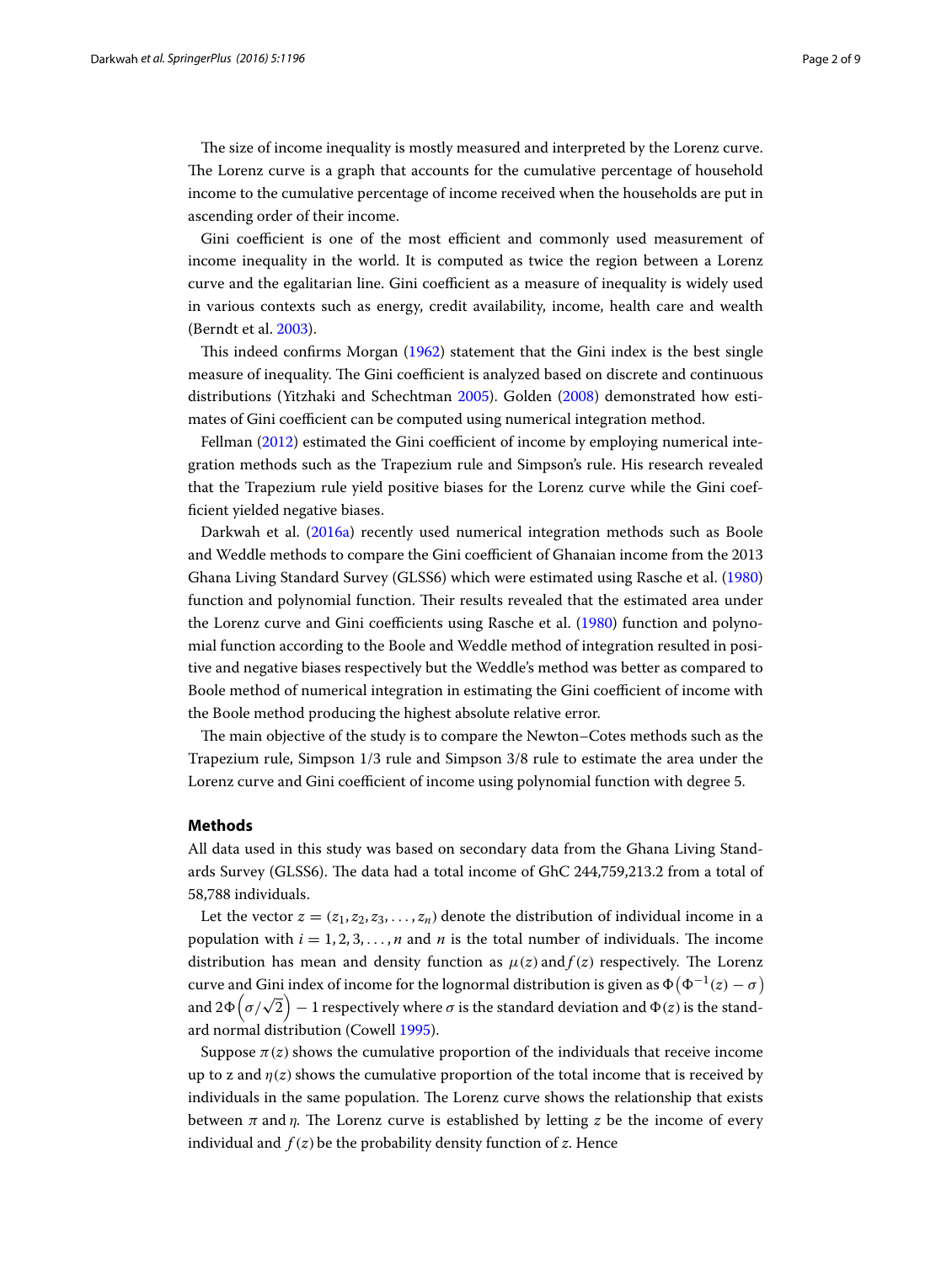The size of income inequality is mostly measured and interpreted by the Lorenz curve. The Lorenz curve is a graph that accounts for the cumulative percentage of household income to the cumulative percentage of income received when the households are put in ascending order of their income.

Gini coefficient is one of the most efficient and commonly used measurement of income inequality in the world. It is computed as twice the region between a Lorenz curve and the egalitarian line. Gini coefficient as a measure of inequality is widely used in various contexts such as energy, credit availability, income, health care and wealth (Berndt et al. [2003\)](#page-8-4).

This indeed confirms Morgan ([1962](#page-8-5)) statement that the Gini index is the best single measure of inequality. The Gini coefficient is analyzed based on discrete and continuous distributions (Yitzhaki and Schechtman [2005](#page-8-6)). Golden [\(2008\)](#page-8-7) demonstrated how estimates of Gini coefficient can be computed using numerical integration method.

Fellman ([2012\)](#page-8-8) estimated the Gini coefficient of income by employing numerical integration methods such as the Trapezium rule and Simpson's rule. His research revealed that the Trapezium rule yield positive biases for the Lorenz curve while the Gini coefficient yielded negative biases.

Darkwah et al. ([2016a\)](#page-8-9) recently used numerical integration methods such as Boole and Weddle methods to compare the Gini coefficient of Ghanaian income from the 2013 Ghana Living Standard Survey (GLSS6) which were estimated using Rasche et al. ([1980](#page-8-10)) function and polynomial function. Their results revealed that the estimated area under the Lorenz curve and Gini coefficients using Rasche et al. ([1980](#page-8-10)) function and polynomial function according to the Boole and Weddle method of integration resulted in positive and negative biases respectively but the Weddle's method was better as compared to Boole method of numerical integration in estimating the Gini coefficient of income with the Boole method producing the highest absolute relative error.

The main objective of the study is to compare the Newton–Cotes methods such as the Trapezium rule, Simpson 1/3 rule and Simpson 3/8 rule to estimate the area under the Lorenz curve and Gini coefficient of income using polynomial function with degree 5.

## **Methods**

All data used in this study was based on secondary data from the Ghana Living Standards Survey (GLSS6). The data had a total income of GhC 244,759,213.2 from a total of 58,788 individuals.

Let the vector  $z = (z_1, z_2, z_3, \dots, z_n)$  denote the distribution of individual income in a population with  $i = 1, 2, 3, \ldots, n$  and *n* is the total number of individuals. The income distribution has mean and density function as  $\mu(z)$  and  $f(z)$  respectively. The Lorenz curve and Gini index of income for the lognormal distribution is given as  $\Phi(\Phi^{-1}(z) - \sigma)$ and  $2\Phi\left(\sigma/\sqrt{2}\right) - 1$  respectively where  $\sigma$  is the standard deviation and  $\Phi(z)$  is the standard normal distribution (Cowell [1995\)](#page-8-11).

Suppose  $\pi(z)$  shows the cumulative proportion of the individuals that receive income up to z and  $\eta(z)$  shows the cumulative proportion of the total income that is received by individuals in the same population. The Lorenz curve shows the relationship that exists between  $\pi$  and  $\eta$ . The Lorenz curve is established by letting *z* be the income of every individual and  $f(z)$  be the probability density function of z. Hence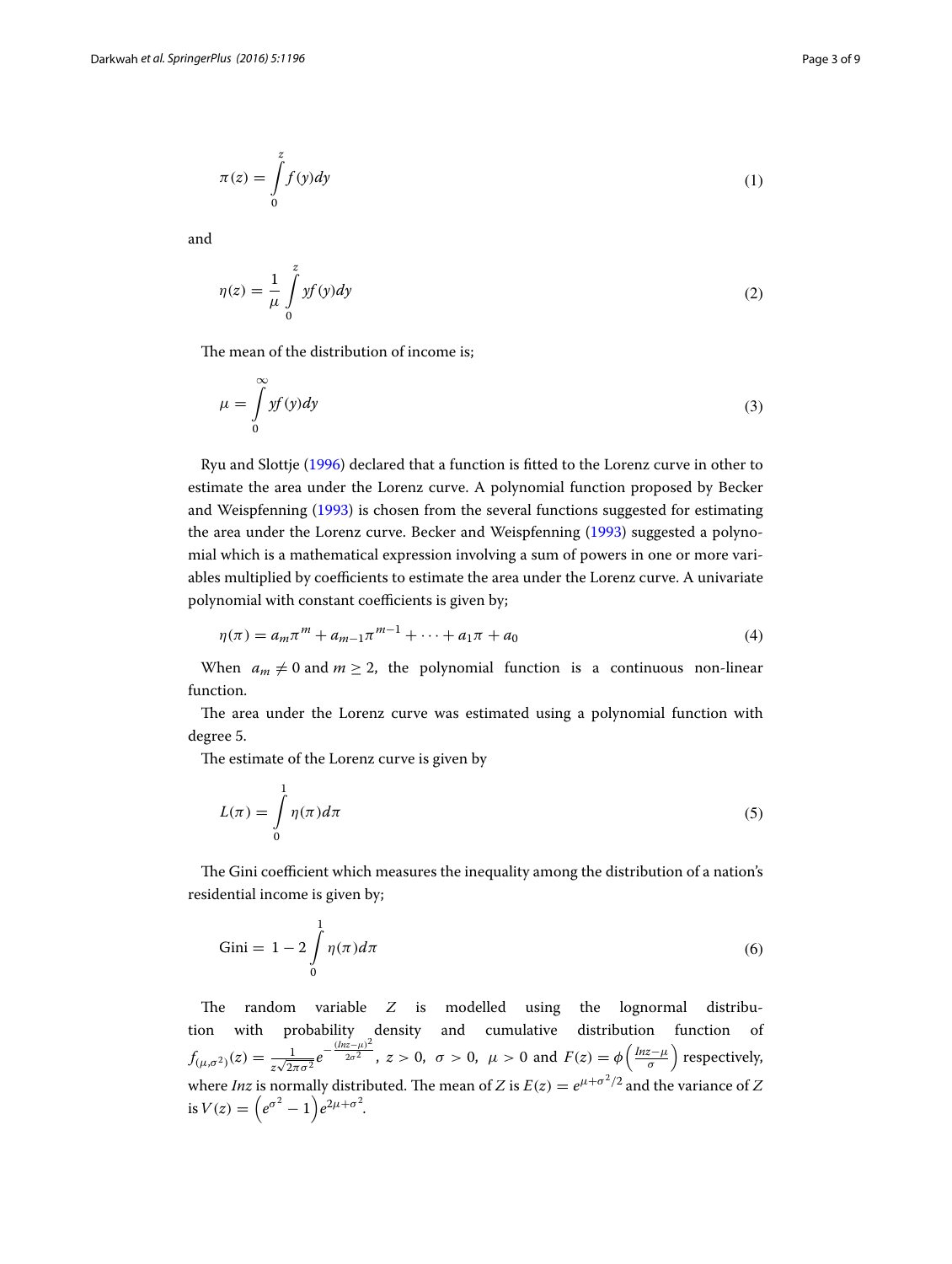$$
\pi(z) = \int_{0}^{z} f(y) dy
$$
 (1)

and

$$
\eta(z) = \frac{1}{\mu} \int_{0}^{z} y f(y) dy
$$
\n(2)

The mean of the distribution of income is;

$$
\mu = \int_{0}^{\infty} y f(y) dy
$$
\n(3)

Ryu and Slottje [\(1996\)](#page-8-12) declared that a function is fitted to the Lorenz curve in other to estimate the area under the Lorenz curve. A polynomial function proposed by Becker and Weispfenning [\(1993](#page-8-13)) is chosen from the several functions suggested for estimating the area under the Lorenz curve. Becker and Weispfenning [\(1993](#page-8-13)) suggested a polynomial which is a mathematical expression involving a sum of powers in one or more variables multiplied by coefficients to estimate the area under the Lorenz curve. A univariate polynomial with constant coefficients is given by;

$$
\eta(\pi) = a_m \pi^m + a_{m-1} \pi^{m-1} + \dots + a_1 \pi + a_0 \tag{4}
$$

When  $a_m \neq 0$  and  $m \geq 2$ , the polynomial function is a continuous non-linear function.

The area under the Lorenz curve was estimated using a polynomial function with degree 5.

The estimate of the Lorenz curve is given by

$$
L(\pi) = \int_{0}^{1} \eta(\pi) d\pi
$$
\n(5)

The Gini coefficient which measures the inequality among the distribution of a nation's residential income is given by;

$$
\text{Gini} = 1 - 2 \int_{0}^{1} \eta(\pi) d\pi \tag{6}
$$

The random variable  $Z$  is modelled using the lognormal distribution with probability density and cumulative distribution function of  $f_{(\mu,\sigma^2)}(z) = \frac{1}{z\sqrt{2\pi\sigma^2}}e^{-z}$  $-\frac{(lnz-\mu)^2}{2\sigma^2}$ ,  $z > 0$ ,  $\sigma > 0$ ,  $\mu > 0$  and  $F(z) = \phi\left(\frac{lnz-\mu}{\sigma}\right)$  respectively, where *Inz* is normally distributed. The mean of Z is  $E(z) = e^{\mu + \sigma^2/2}$  and the variance of Z is  $V(z) = \left(e^{\sigma^2} - 1\right)e^{2\mu + \sigma^2}$ .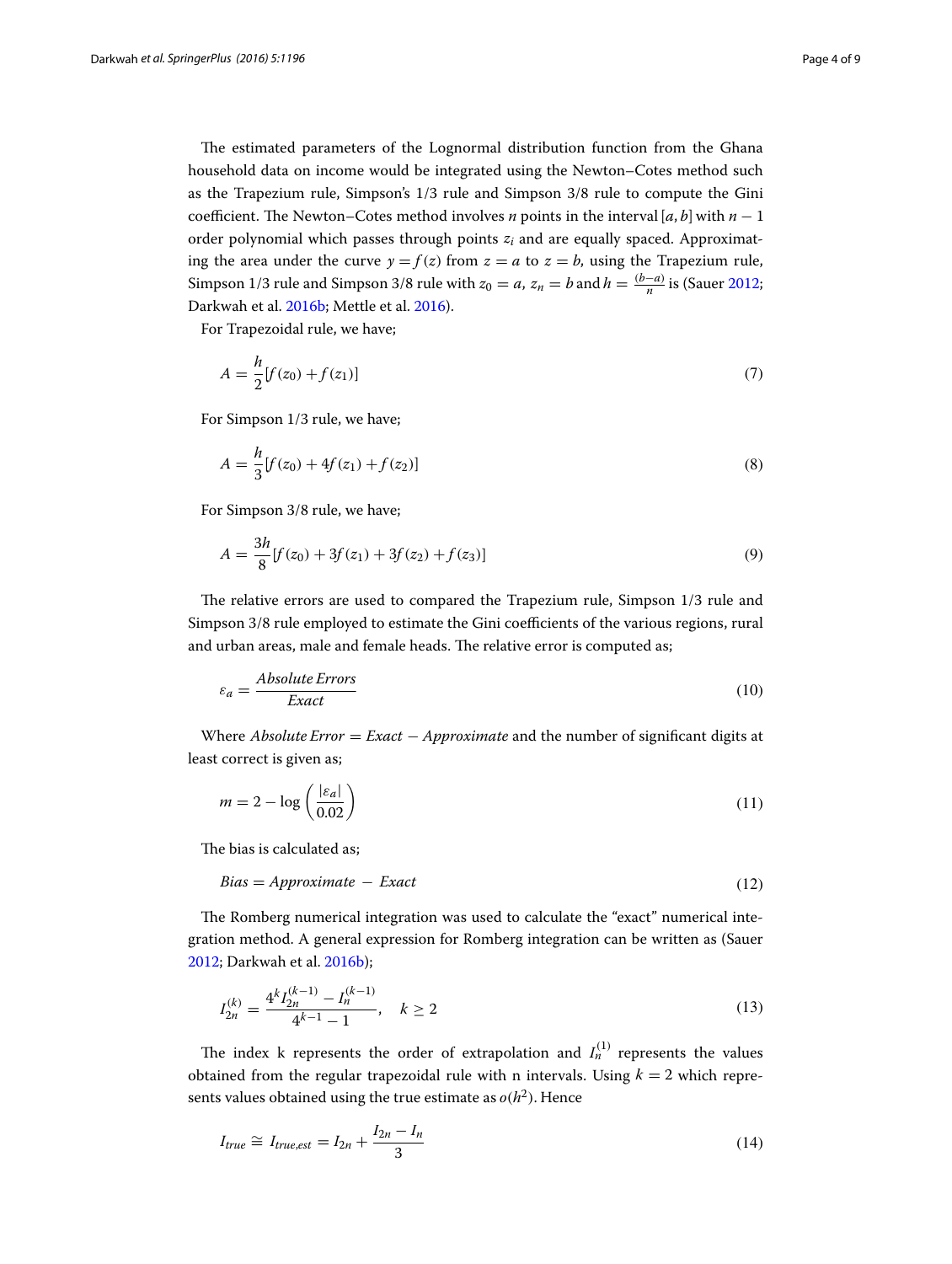The estimated parameters of the Lognormal distribution function from the Ghana household data on income would be integrated using the Newton–Cotes method such as the Trapezium rule, Simpson's 1/3 rule and Simpson 3/8 rule to compute the Gini coefficient. The Newton–Cotes method involves *n* points in the interval [a, b] with  $n - 1$ order polynomial which passes through points  $z_i$  and are equally spaced. Approximating the area under the curve  $y = f(z)$  from  $z = a$  to  $z = b$ , using the Trapezium rule, Simpson 1/3 rule and Simpson 3/8 rule with  $z_0 = a$ ,  $z_n = b$  and  $h = \frac{(b-a)}{n}$  is (Sauer [2012](#page-8-14); Darkwah et al. [2016b;](#page-8-15) Mettle et al. [2016\)](#page-8-16).

For Trapezoidal rule, we have;

$$
A = \frac{h}{2} [f(z_0) + f(z_1)] \tag{7}
$$

For Simpson 1/3 rule, we have;

$$
A = \frac{h}{3} [f(z_0) + 4f(z_1) + f(z_2)] \tag{8}
$$

For Simpson 3/8 rule, we have;

$$
A = \frac{3h}{8} [f(z_0) + 3f(z_1) + 3f(z_2) + f(z_3)] \tag{9}
$$

The relative errors are used to compared the Trapezium rule, Simpson 1/3 rule and Simpson 3/8 rule employed to estimate the Gini coefficients of the various regions, rural and urban areas, male and female heads. The relative error is computed as;

$$
\varepsilon_a = \frac{Absolute\,E}{Exact} \tag{10}
$$

Where *Absolute Error* = *Exact*  $-\text{Approximate}$  and the number of significant digits at least correct is given as;

$$
m = 2 - \log\left(\frac{|\varepsilon_a|}{0.02}\right) \tag{11}
$$

The bias is calculated as;

$$
Bias = Approximate - Exact \tag{12}
$$

The Romberg numerical integration was used to calculate the "exact" numerical integration method. A general expression for Romberg integration can be written as (Sauer [2012](#page-8-14); Darkwah et al. [2016b\)](#page-8-15);

$$
I_{2n}^{(k)} = \frac{4^k I_{2n}^{(k-1)} - I_n^{(k-1)}}{4^{k-1} - 1}, \quad k \ge 2
$$
\n(13)

The index k represents the order of extrapolation and  $I_n^{(1)}$  represents the values obtained from the regular trapezoidal rule with n intervals. Using  $k = 2$  which represents values obtained using the true estimate as  $o(h^2)$ . Hence

$$
I_{true} \cong I_{true,est} = I_{2n} + \frac{I_{2n} - I_n}{3} \tag{14}
$$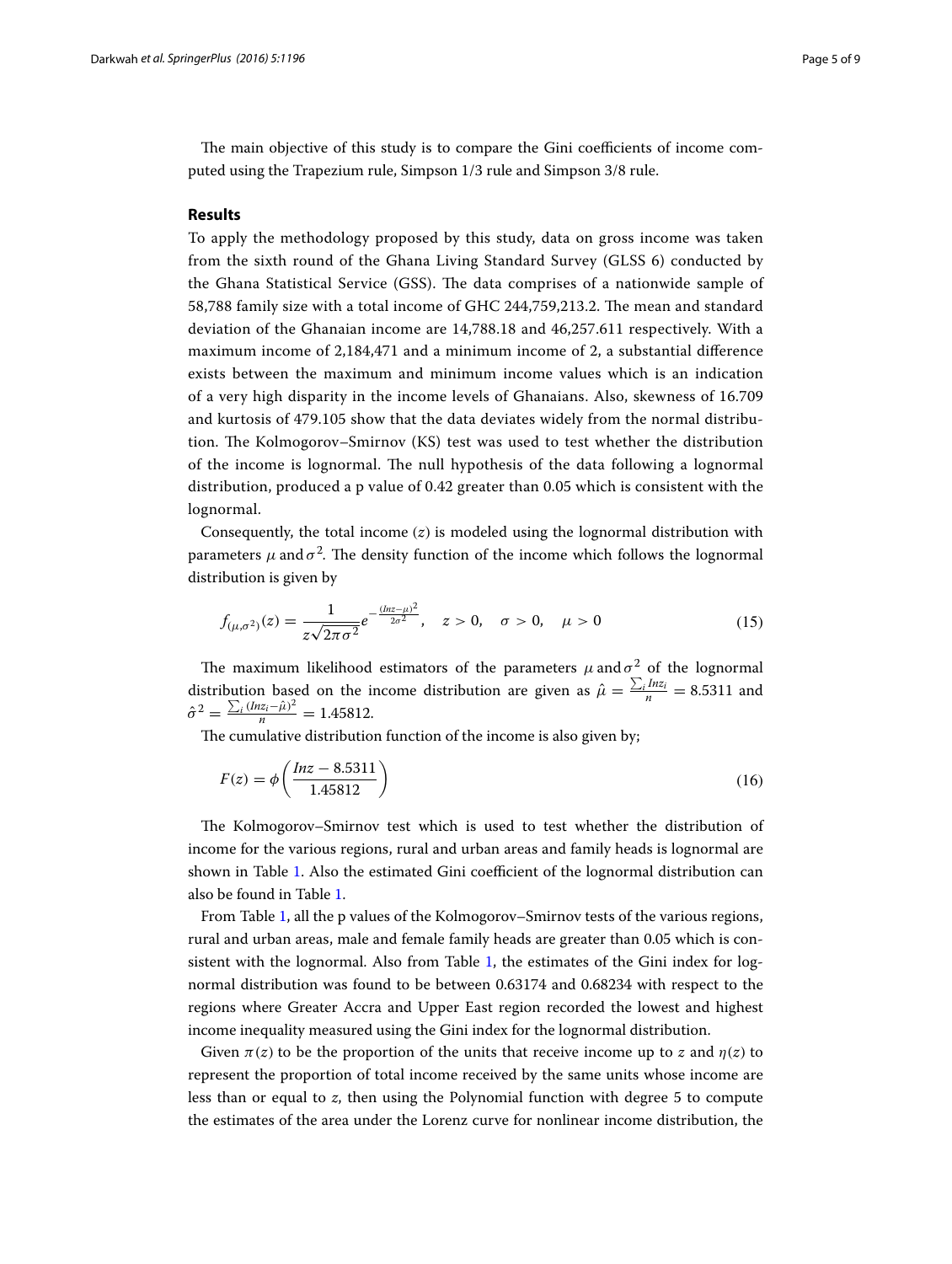The main objective of this study is to compare the Gini coefficients of income computed using the Trapezium rule, Simpson 1/3 rule and Simpson 3/8 rule.

#### **Results**

To apply the methodology proposed by this study, data on gross income was taken from the sixth round of the Ghana Living Standard Survey (GLSS 6) conducted by the Ghana Statistical Service (GSS). The data comprises of a nationwide sample of 58,788 family size with a total income of GHC 244,759,213.2. The mean and standard deviation of the Ghanaian income are 14,788.18 and 46,257.611 respectively. With a maximum income of 2,184,471 and a minimum income of 2, a substantial difference exists between the maximum and minimum income values which is an indication of a very high disparity in the income levels of Ghanaians. Also, skewness of 16.709 and kurtosis of 479.105 show that the data deviates widely from the normal distribution. The Kolmogorov–Smirnov (KS) test was used to test whether the distribution of the income is lognormal. The null hypothesis of the data following a lognormal distribution, produced a p value of 0.42 greater than 0.05 which is consistent with the lognormal.

Consequently, the total income  $(z)$  is modeled using the lognormal distribution with parameters  $\mu$  and  $\sigma^2$ . The density function of the income which follows the lognormal distribution is given by

$$
f_{(\mu,\sigma^2)}(z) = \frac{1}{z\sqrt{2\pi\sigma^2}}e^{-\frac{(\ln z - \mu)^2}{2\sigma^2}}, \quad z > 0, \quad \sigma > 0, \quad \mu > 0
$$
 (15)

The maximum likelihood estimators of the parameters  $\mu$  and  $\sigma^2$  of the lognormal distribution based on the income distribution are given as  $\hat{\mu} = \frac{\sum_i Inz_i}{n} = 8.5311$  and  $\hat{\sigma}^2 = \frac{\sum_i (Inz_i - \hat{\mu})^2}{n} = 1.45812.$ 

The cumulative distribution function of the income is also given by;

$$
F(z) = \phi\left(\frac{lnz - 8.5311}{1.45812}\right)
$$
\n(16)

The Kolmogorov–Smirnov test which is used to test whether the distribution of income for the various regions, rural and urban areas and family heads is lognormal are shown in Table [1](#page-5-0). Also the estimated Gini coefficient of the lognormal distribution can also be found in Table [1](#page-5-0).

From Table [1](#page-5-0), all the p values of the Kolmogorov–Smirnov tests of the various regions, rural and urban areas, male and female family heads are greater than 0.05 which is consistent with the lognormal. Also from Table [1,](#page-5-0) the estimates of the Gini index for lognormal distribution was found to be between 0.63174 and 0.68234 with respect to the regions where Greater Accra and Upper East region recorded the lowest and highest income inequality measured using the Gini index for the lognormal distribution.

Given  $\pi(z)$  to be the proportion of the units that receive income up to z and  $\eta(z)$  to represent the proportion of total income received by the same units whose income are less than or equal to *z*, then using the Polynomial function with degree 5 to compute the estimates of the area under the Lorenz curve for nonlinear income distribution, the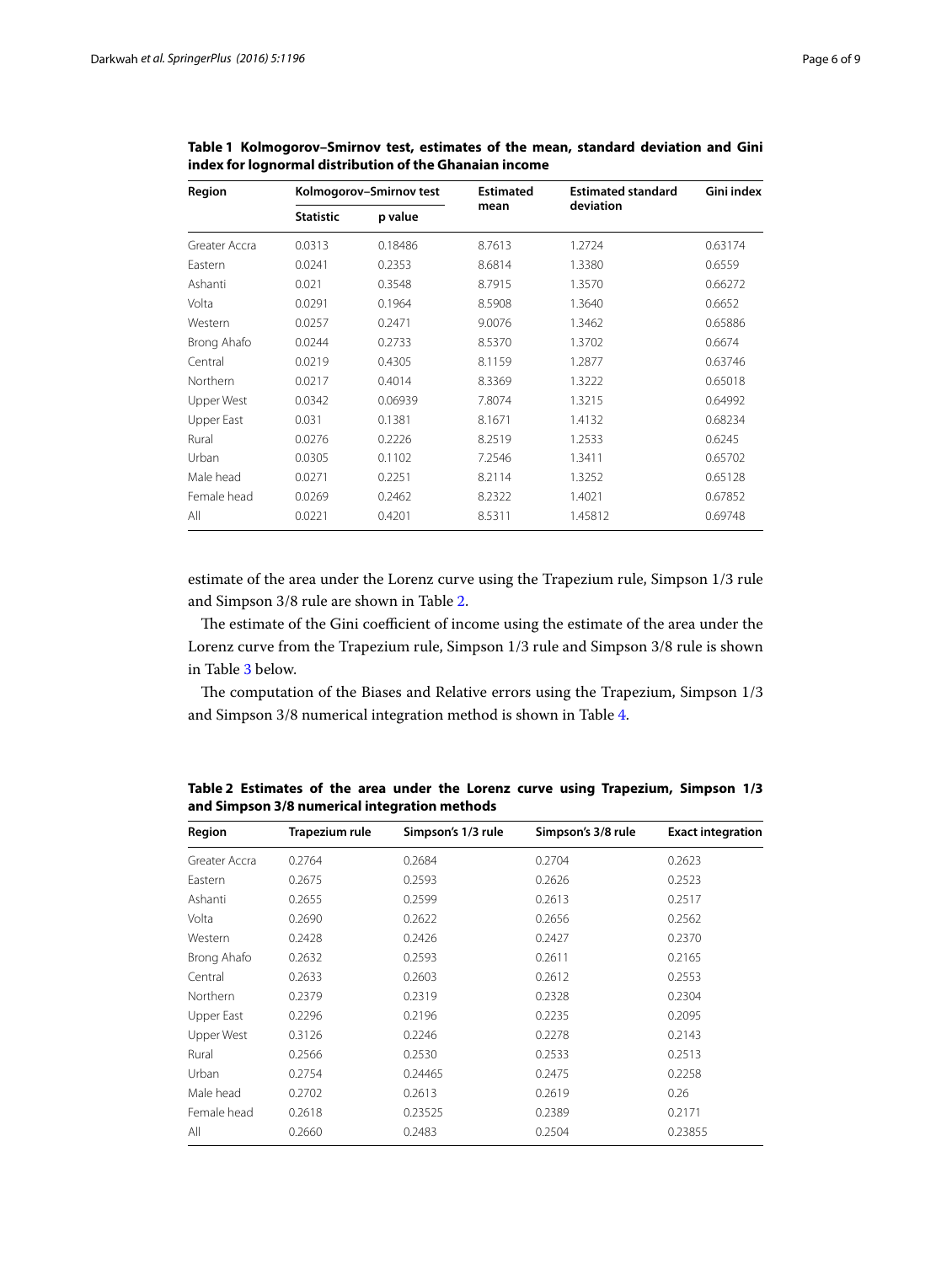| Region        |                  | Kolmogorov-Smirnov test | <b>Estimated</b> | <b>Estimated standard</b> | Gini index |
|---------------|------------------|-------------------------|------------------|---------------------------|------------|
|               | <b>Statistic</b> | p value                 | mean             | deviation                 |            |
| Greater Accra | 0.0313           | 0.18486                 | 8.7613           | 1.2724                    | 0.63174    |
| Eastern       | 0.0241           | 0.2353                  | 8.6814           | 1.3380                    | 0.6559     |
| Ashanti       | 0.021            | 0.3548                  | 8.7915           | 1.3570                    | 0.66272    |
| Volta         | 0.0291           | 0.1964                  | 8.5908           | 1.3640                    | 0.6652     |
| Western       | 0.0257           | 0.2471                  | 9.0076           | 1.3462                    | 0.65886    |
| Brong Ahafo   | 0.0244           | 0.2733                  | 8.5370           | 1.3702                    | 0.6674     |
| Central       | 0.0219           | 0.4305                  | 8.1159           | 1.2877                    | 0.63746    |
| Northern      | 0.0217           | 0.4014                  | 8.3369           | 1.3222                    | 0.65018    |
| Upper West    | 0.0342           | 0.06939                 | 7.8074           | 1.3215                    | 0.64992    |
| Upper East    | 0.031            | 0.1381                  | 8.1671           | 1.4132                    | 0.68234    |
| Rural         | 0.0276           | 0.2226                  | 8.2519           | 1.2533                    | 0.6245     |
| Urban         | 0.0305           | 0.1102                  | 7.2546           | 1.3411                    | 0.65702    |
| Male head     | 0.0271           | 0.2251                  | 8.2114           | 1.3252                    | 0.65128    |
| Female head   | 0.0269           | 0.2462                  | 8.2322           | 1.4021                    | 0.67852    |
| All           | 0.0221           | 0.4201                  | 8.5311           | 1.45812                   | 0.69748    |

<span id="page-5-0"></span>**Table 1 Kolmogorov–Smirnov test, estimates of the mean, standard deviation and Gini index for lognormal distribution of the Ghanaian income**

estimate of the area under the Lorenz curve using the Trapezium rule, Simpson 1/3 rule and Simpson 3/8 rule are shown in Table [2](#page-5-1).

The estimate of the Gini coefficient of income using the estimate of the area under the Lorenz curve from the Trapezium rule, Simpson 1/3 rule and Simpson 3/8 rule is shown in Table [3](#page-6-0) below.

The computation of the Biases and Relative errors using the Trapezium, Simpson 1/3 and Simpson 3/8 numerical integration method is shown in Table [4.](#page-6-1)

| Region        | Trapezium rule | Simpson's 1/3 rule | Simpson's 3/8 rule | <b>Exact integration</b> |
|---------------|----------------|--------------------|--------------------|--------------------------|
| Greater Accra | 0.2764         | 0.2684             | 0.2704             | 0.2623                   |
| Eastern       | 0.2675         | 0.2593             | 0.2626             | 0.2523                   |
| Ashanti       | 0.2655         | 0.2599             | 0.2613             | 0.2517                   |
| Volta         | 0.2690         | 0.2622             | 0.2656             | 0.2562                   |
| Western       | 0.2428         | 0.2426             | 0.2427             | 0.2370                   |
| Brong Ahafo   | 0.2632         | 0.2593             | 0.2611             | 0.2165                   |
| Central       | 0.2633         | 0.2603             | 0.2612             | 0.2553                   |
| Northern      | 0.2379         | 0.2319             | 0.2328             | 0.2304                   |
| Upper East    | 0.2296         | 0.2196             | 0.2235             | 0.2095                   |
| Upper West    | 0.3126         | 0.2246             | 0.2278             | 0.2143                   |
| Rural         | 0.2566         | 0.2530             | 0.2533             | 0.2513                   |
| Urban         | 0.2754         | 0.24465            | 0.2475             | 0.2258                   |
| Male head     | 0.2702         | 0.2613             | 0.2619             | 0.26                     |
| Female head   | 0.2618         | 0.23525            | 0.2389             | 0.2171                   |
| All           | 0.2660         | 0.2483             | 0.2504             | 0.23855                  |

<span id="page-5-1"></span>**Table 2 Estimates of the area under the Lorenz curve using Trapezium, Simpson 1/3 and Simpson 3/8 numerical integration methods**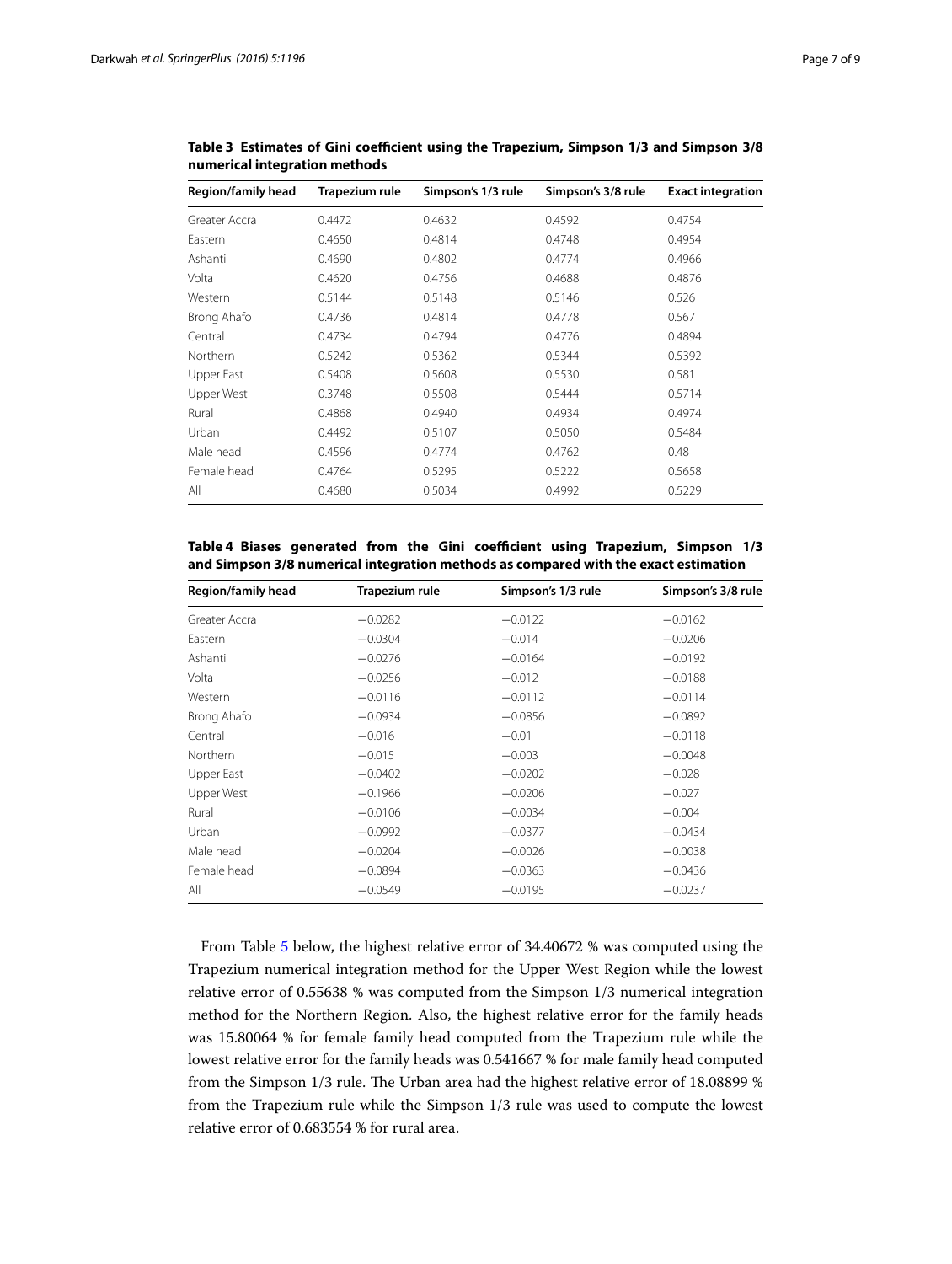| Region/family head | Trapezium rule | Simpson's 1/3 rule | Simpson's 3/8 rule | <b>Exact integration</b> |
|--------------------|----------------|--------------------|--------------------|--------------------------|
| Greater Accra      | 0.4472         | 0.4632             | 0.4592             | 0.4754                   |
| Eastern            | 0.4650         | 0.4814             | 0.4748             | 0.4954                   |
| Ashanti            | 0.4690         | 0.4802             | 0.4774             | 0.4966                   |
| Volta              | 0.4620         | 0.4756             | 0.4688             | 0.4876                   |
| Western            | 0.5144         | 0.5148             | 0.5146             | 0.526                    |
| Brong Ahafo        | 0.4736         | 0.4814             | 0.4778             | 0.567                    |
| Central            | 0.4734         | 0.4794             | 0.4776             | 0.4894                   |
| Northern           | 0.5242         | 0.5362             | 0.5344             | 0.5392                   |
| Upper East         | 0.5408         | 0.5608             | 0.5530             | 0.581                    |
| Upper West         | 0.3748         | 0.5508             | 0.5444             | 0.5714                   |
| Rural              | 0.4868         | 0.4940             | 0.4934             | 0.4974                   |
| Urban              | 0.4492         | 0.5107             | 0.5050             | 0.5484                   |
| Male head          | 0.4596         | 0.4774             | 0.4762             | 0.48                     |
| Female head        | 0.4764         | 0.5295             | 0.5222             | 0.5658                   |
| All                | 0.4680         | 0.5034             | 0.4992             | 0.5229                   |

<span id="page-6-0"></span>**Table 3 Estimates of Gini coefficient using the Trapezium, Simpson 1/3 and Simpson 3/8 numerical integration methods**

# <span id="page-6-1"></span>**Table 4 Biases generated from the Gini coefficient using Trapezium, Simpson 1/3 and Simpson 3/8 numerical integration methods as compared with the exact estimation**

| <b>Region/family head</b> | Trapezium rule | Simpson's 1/3 rule | Simpson's 3/8 rule |
|---------------------------|----------------|--------------------|--------------------|
| Greater Accra             | $-0.0282$      | $-0.0122$          | $-0.0162$          |
| Eastern                   | $-0.0304$      | $-0.014$           | $-0.0206$          |
| Ashanti                   | $-0.0276$      | $-0.0164$          | $-0.0192$          |
| Volta                     | $-0.0256$      | $-0.012$           | $-0.0188$          |
| Western                   | $-0.0116$      | $-0.0112$          | $-0.0114$          |
| Brong Ahafo               | $-0.0934$      | $-0.0856$          | $-0.0892$          |
| Central                   | $-0.016$       | $-0.01$            | $-0.0118$          |
| <b>Northern</b>           | $-0.015$       | $-0.003$           | $-0.0048$          |
| Upper East                | $-0.0402$      | $-0.0202$          | $-0.028$           |
| Upper West                | $-0.1966$      | $-0.0206$          | $-0.027$           |
| Rural                     | $-0.0106$      | $-0.0034$          | $-0.004$           |
| Urban                     | $-0.0992$      | $-0.0377$          | $-0.0434$          |
| Male head                 | $-0.0204$      | $-0.0026$          | $-0.0038$          |
| Female head               | $-0.0894$      | $-0.0363$          | $-0.0436$          |
| All                       | $-0.0549$      | $-0.0195$          | $-0.0237$          |

From Table [5](#page-7-0) below, the highest relative error of 34.40672 % was computed using the Trapezium numerical integration method for the Upper West Region while the lowest relative error of 0.55638 % was computed from the Simpson 1/3 numerical integration method for the Northern Region. Also, the highest relative error for the family heads was 15.80064 % for female family head computed from the Trapezium rule while the lowest relative error for the family heads was 0.541667 % for male family head computed from the Simpson 1/3 rule. The Urban area had the highest relative error of 18.08899 % from the Trapezium rule while the Simpson 1/3 rule was used to compute the lowest relative error of 0.683554 % for rural area.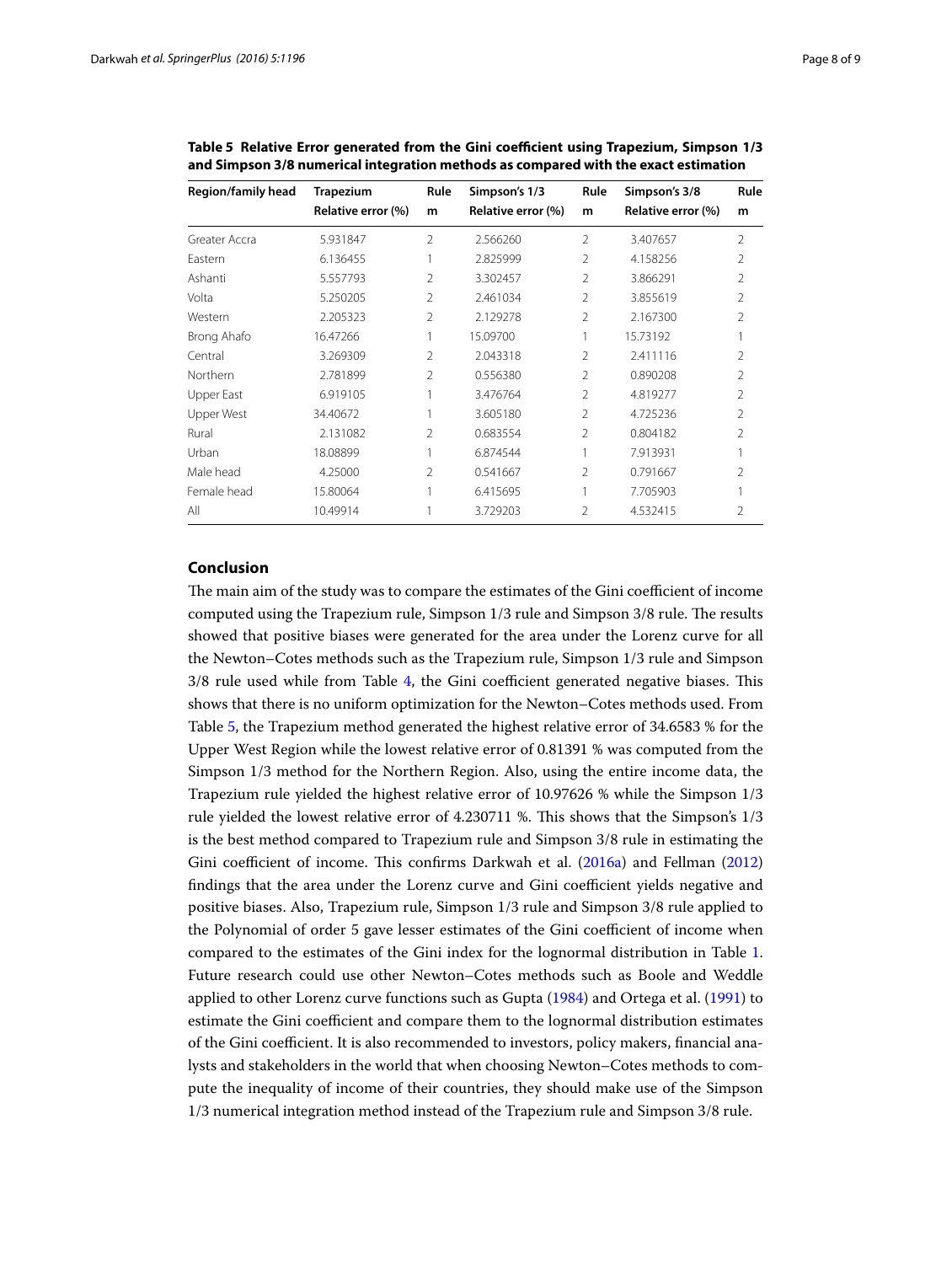| Region/family head | <b>Trapezium</b>   | Rule           | Simpson's 1/3      | Rule           | Simpson's 3/8      | Rule           |
|--------------------|--------------------|----------------|--------------------|----------------|--------------------|----------------|
|                    | Relative error (%) | m              | Relative error (%) | m              | Relative error (%) | m              |
| Greater Accra      | 5.931847           | $\mathfrak{D}$ | 2.566260           | $\mathfrak{D}$ | 3.407657           | $\overline{2}$ |
| Fastern            | 6.136455           |                | 2.825999           | 2              | 4.158256           | $\mathfrak{D}$ |
| Ashanti            | 5.557793           | $\mathfrak{D}$ | 3.302457           | $\mathfrak{D}$ | 3.866291           | $\mathfrak{D}$ |
| Volta              | 5.250205           | $\mathfrak{D}$ | 2.461034           | $\mathfrak{D}$ | 3.855619           | $\mathfrak{D}$ |
| Western            | 2.205323           | 2              | 2.129278           | 2              | 2.167300           | 2              |
| Brong Ahafo        | 16.47266           |                | 15.09700           |                | 15.73192           |                |
| Central            | 3.269309           | $\mathfrak{D}$ | 2.043318           | $\mathfrak{D}$ | 2.411116           | 2              |
| Northern           | 2.781899           | 2              | 0.556380           | 2              | 0.890208           | 2              |
| Upper East         | 6.919105           |                | 3.476764           | 2              | 4.819277           | 2              |
| Upper West         | 34.40672           |                | 3.605180           | $\mathfrak{D}$ | 4.725236           | V              |
| Rural              | 2.131082           | 2              | 0.683554           | 2              | 0.804182           | V              |
| Urban              | 18.08899           |                | 6.874544           | 1              | 7.913931           |                |
| Male head          | 4.25000            | 2              | 0.541667           | $\mathfrak{D}$ | 0.791667           | V              |
| Female head        | 15.80064           |                | 6.415695           | 1              | 7.705903           |                |
| All                | 10.49914           |                | 3.729203           | $\mathfrak{D}$ | 4.532415           | 2              |

<span id="page-7-0"></span>**Table 5 Relative Error generated from the Gini coefficient using Trapezium, Simpson 1/3 and Simpson 3/8 numerical integration methods as compared with the exact estimation**

### **Conclusion**

The main aim of the study was to compare the estimates of the Gini coefficient of income computed using the Trapezium rule, Simpson 1/3 rule and Simpson 3/8 rule. The results showed that positive biases were generated for the area under the Lorenz curve for all the Newton–Cotes methods such as the Trapezium rule, Simpson 1/3 rule and Simpson 3/8 rule used while from Table [4,](#page-6-1) the Gini coefficient generated negative biases. This shows that there is no uniform optimization for the Newton–Cotes methods used. From Table [5](#page-7-0), the Trapezium method generated the highest relative error of 34.6583 % for the Upper West Region while the lowest relative error of 0.81391 % was computed from the Simpson 1/3 method for the Northern Region. Also, using the entire income data, the Trapezium rule yielded the highest relative error of 10.97626 % while the Simpson 1/3 rule yielded the lowest relative error of 4.230711 %. This shows that the Simpson's 1/3 is the best method compared to Trapezium rule and Simpson 3/8 rule in estimating the Gini coefficient of income. This confirms Darkwah et al. ([2016a\)](#page-8-9) and Fellman ([2012](#page-8-8)) findings that the area under the Lorenz curve and Gini coefficient yields negative and positive biases. Also, Trapezium rule, Simpson 1/3 rule and Simpson 3/8 rule applied to the Polynomial of order 5 gave lesser estimates of the Gini coefficient of income when compared to the estimates of the Gini index for the lognormal distribution in Table [1](#page-5-0). Future research could use other Newton–Cotes methods such as Boole and Weddle applied to other Lorenz curve functions such as Gupta [\(1984](#page-8-17)) and Ortega et al. [\(1991\)](#page-8-18) to estimate the Gini coefficient and compare them to the lognormal distribution estimates of the Gini coefficient. It is also recommended to investors, policy makers, financial analysts and stakeholders in the world that when choosing Newton–Cotes methods to compute the inequality of income of their countries, they should make use of the Simpson 1/3 numerical integration method instead of the Trapezium rule and Simpson 3/8 rule.